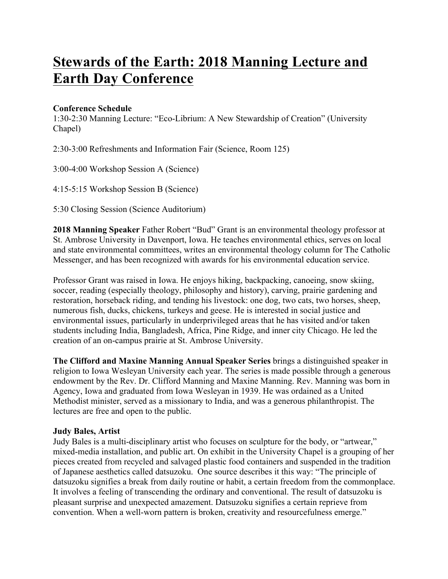# **Stewards of the Earth: 2018 Manning Lecture and Earth Day Conference**

### **Conference Schedule**

1:30-2:30 Manning Lecture: "Eco-Librium: A New Stewardship of Creation" (University Chapel)

2:30-3:00 Refreshments and Information Fair (Science, Room 125)

3:00-4:00 Workshop Session A (Science)

4:15-5:15 Workshop Session B (Science)

5:30 Closing Session (Science Auditorium)

**2018 Manning Speaker** Father Robert "Bud" Grant is an environmental theology professor at St. Ambrose University in Davenport, Iowa. He teaches environmental ethics, serves on local and state environmental committees, writes an environmental theology column for The Catholic Messenger, and has been recognized with awards for his environmental education service.

Professor Grant was raised in Iowa. He enjoys hiking, backpacking, canoeing, snow skiing, soccer, reading (especially theology, philosophy and history), carving, prairie gardening and restoration, horseback riding, and tending his livestock: one dog, two cats, two horses, sheep, numerous fish, ducks, chickens, turkeys and geese. He is interested in social justice and environmental issues, particularly in underprivileged areas that he has visited and/or taken students including India, Bangladesh, Africa, Pine Ridge, and inner city Chicago. He led the creation of an on-campus prairie at St. Ambrose University.

**The Clifford and Maxine Manning Annual Speaker Series** brings a distinguished speaker in religion to Iowa Wesleyan University each year. The series is made possible through a generous endowment by the Rev. Dr. Clifford Manning and Maxine Manning. Rev. Manning was born in Agency, Iowa and graduated from Iowa Wesleyan in 1939. He was ordained as a United Methodist minister, served as a missionary to India, and was a generous philanthropist. The lectures are free and open to the public.

### **Judy Bales, Artist**

Judy Bales is a multi-disciplinary artist who focuses on sculpture for the body, or "artwear," mixed-media installation, and public art. On exhibit in the University Chapel is a grouping of her pieces created from recycled and salvaged plastic food containers and suspended in the tradition of Japanese aesthetics called datsuzoku. One source describes it this way: "The principle of datsuzoku signifies a break from daily routine or habit, a certain freedom from the commonplace. It involves a feeling of transcending the ordinary and conventional. The result of datsuzoku is pleasant surprise and unexpected amazement. Datsuzoku signifies a certain reprieve from convention. When a well-worn pattern is broken, creativity and resourcefulness emerge."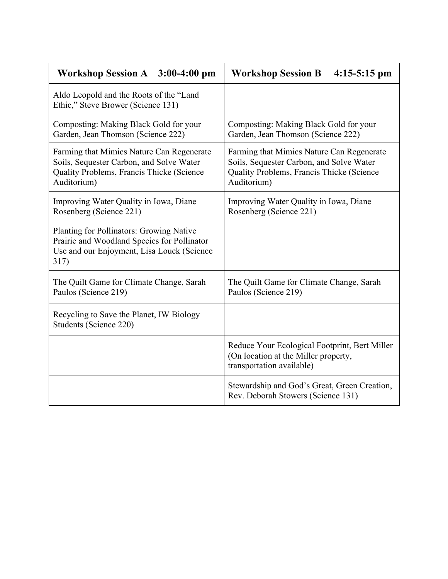| Workshop Session A 3:00-4:00 pm                                                                                                                   | <b>Workshop Session B</b><br>$4:15-5:15$ pm                                                                                                       |
|---------------------------------------------------------------------------------------------------------------------------------------------------|---------------------------------------------------------------------------------------------------------------------------------------------------|
| Aldo Leopold and the Roots of the "Land<br>Ethic," Steve Brower (Science 131)                                                                     |                                                                                                                                                   |
| Composting: Making Black Gold for your<br>Garden, Jean Thomson (Science 222)                                                                      | Composting: Making Black Gold for your<br>Garden, Jean Thomson (Science 222)                                                                      |
| Farming that Mimics Nature Can Regenerate<br>Soils, Sequester Carbon, and Solve Water<br>Quality Problems, Francis Thicke (Science<br>Auditorium) | Farming that Mimics Nature Can Regenerate<br>Soils, Sequester Carbon, and Solve Water<br>Quality Problems, Francis Thicke (Science<br>Auditorium) |
| Improving Water Quality in Iowa, Diane<br>Rosenberg (Science 221)                                                                                 | Improving Water Quality in Iowa, Diane<br>Rosenberg (Science 221)                                                                                 |
| Planting for Pollinators: Growing Native<br>Prairie and Woodland Species for Pollinator<br>Use and our Enjoyment, Lisa Louck (Science<br>317)     |                                                                                                                                                   |
| The Quilt Game for Climate Change, Sarah<br>Paulos (Science 219)                                                                                  | The Quilt Game for Climate Change, Sarah<br>Paulos (Science 219)                                                                                  |
| Recycling to Save the Planet, IW Biology<br>Students (Science 220)                                                                                |                                                                                                                                                   |
|                                                                                                                                                   | Reduce Your Ecological Footprint, Bert Miller<br>(On location at the Miller property,<br>transportation available)                                |
|                                                                                                                                                   | Stewardship and God's Great, Green Creation,<br>Rev. Deborah Stowers (Science 131)                                                                |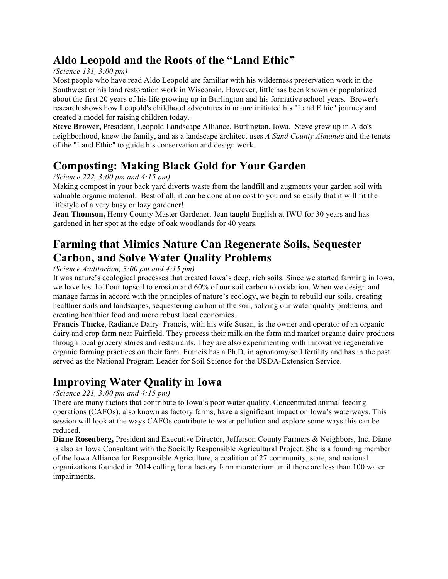### **Aldo Leopold and the Roots of the "Land Ethic"**

### *(Science 131, 3:00 pm)*

Most people who have read Aldo Leopold are familiar with his wilderness preservation work in the Southwest or his land restoration work in Wisconsin. However, little has been known or popularized about the first 20 years of his life growing up in Burlington and his formative school years. Brower's research shows how Leopold's childhood adventures in nature initiated his "Land Ethic" journey and created a model for raising children today.

**Steve Brower,** President, Leopold Landscape Alliance, Burlington, Iowa. Steve grew up in Aldo's neighborhood, knew the family, and as a landscape architect uses *A Sand County Almanac* and the tenets of the "Land Ethic" to guide his conservation and design work.

# **Composting: Making Black Gold for Your Garden**

### *(Science 222, 3:00 pm and 4:15 pm)*

Making compost in your back yard diverts waste from the landfill and augments your garden soil with valuable organic material. Best of all, it can be done at no cost to you and so easily that it will fit the lifestyle of a very busy or lazy gardener!

**Jean Thomson,** Henry County Master Gardener. Jean taught English at IWU for 30 years and has gardened in her spot at the edge of oak woodlands for 40 years.

## **Farming that Mimics Nature Can Regenerate Soils, Sequester Carbon, and Solve Water Quality Problems**

### *(Science Auditorium, 3:00 pm and 4:15 pm)*

It was nature's ecological processes that created Iowa's deep, rich soils. Since we started farming in Iowa, we have lost half our topsoil to erosion and 60% of our soil carbon to oxidation. When we design and manage farms in accord with the principles of nature's ecology, we begin to rebuild our soils, creating healthier soils and landscapes, sequestering carbon in the soil, solving our water quality problems, and creating healthier food and more robust local economies.

**Francis Thicke**, Radiance Dairy. Francis, with his wife Susan, is the owner and operator of an organic dairy and crop farm near Fairfield. They process their milk on the farm and market organic dairy products through local grocery stores and restaurants. They are also experimenting with innovative regenerative organic farming practices on their farm. Francis has a Ph.D. in agronomy/soil fertility and has in the past served as the National Program Leader for Soil Science for the USDA-Extension Service.

# **Improving Water Quality in Iowa**

### *(Science 221, 3:00 pm and 4:15 pm)*

There are many factors that contribute to Iowa's poor water quality. Concentrated animal feeding operations (CAFOs), also known as factory farms, have a significant impact on Iowa's waterways. This session will look at the ways CAFOs contribute to water pollution and explore some ways this can be reduced.

**Diane Rosenberg,** President and Executive Director, Jefferson County Farmers & Neighbors, Inc. Diane is also an Iowa Consultant with the Socially Responsible Agricultural Project. She is a founding member of the Iowa Alliance for Responsible Agriculture, a coalition of 27 community, state, and national organizations founded in 2014 calling for a factory farm moratorium until there are less than 100 water impairments.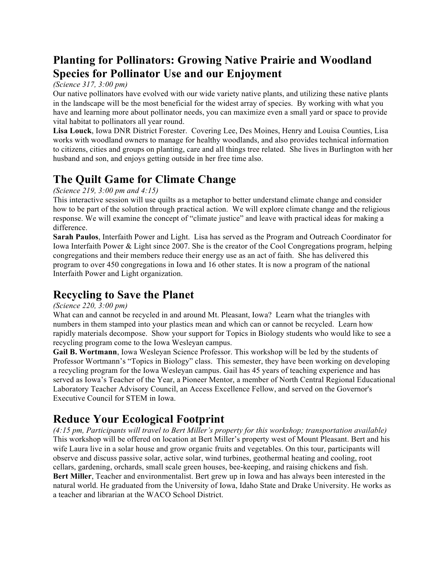# **Planting for Pollinators: Growing Native Prairie and Woodland Species for Pollinator Use and our Enjoyment**

### *(Science 317, 3:00 pm)*

Our native pollinators have evolved with our wide variety native plants, and utilizing these native plants in the landscape will be the most beneficial for the widest array of species. By working with what you have and learning more about pollinator needs, you can maximize even a small yard or space to provide vital habitat to pollinators all year round.

**Lisa Louck**, Iowa DNR District Forester. Covering Lee, Des Moines, Henry and Louisa Counties, Lisa works with woodland owners to manage for healthy woodlands, and also provides technical information to citizens, cities and groups on planting, care and all things tree related. She lives in Burlington with her husband and son, and enjoys getting outside in her free time also.

# **The Quilt Game for Climate Change**

### *(Science 219, 3:00 pm and 4:15)*

This interactive session will use quilts as a metaphor to better understand climate change and consider how to be part of the solution through practical action. We will explore climate change and the religious response. We will examine the concept of "climate justice" and leave with practical ideas for making a difference.

**Sarah Paulos**, Interfaith Power and Light. Lisa has served as the Program and Outreach Coordinator for Iowa Interfaith Power & Light since 2007. She is the creator of the Cool Congregations program, helping congregations and their members reduce their energy use as an act of faith. She has delivered this program to over 450 congregations in Iowa and 16 other states. It is now a program of the national Interfaith Power and Light organization.

## **Recycling to Save the Planet**

### *(Science 220, 3:00 pm)*

What can and cannot be recycled in and around Mt. Pleasant, Iowa? Learn what the triangles with numbers in them stamped into your plastics mean and which can or cannot be recycled. Learn how rapidly materials decompose. Show your support for Topics in Biology students who would like to see a recycling program come to the Iowa Wesleyan campus.

**Gail B. Wortmann**, Iowa Wesleyan Science Professor. This workshop will be led by the students of Professor Wortmann's "Topics in Biology" class. This semester, they have been working on developing a recycling program for the Iowa Wesleyan campus. Gail has 45 years of teaching experience and has served as Iowa's Teacher of the Year, a Pioneer Mentor, a member of North Central Regional Educational Laboratory Teacher Advisory Council, an Access Excellence Fellow, and served on the Governor's Executive Council for STEM in Iowa.

# **Reduce Your Ecological Footprint**

*(4:15 pm, Participants will travel to Bert Miller's property for this workshop; transportation available)* This workshop will be offered on location at Bert Miller's property west of Mount Pleasant. Bert and his wife Laura live in a solar house and grow organic fruits and vegetables. On this tour, participants will observe and discuss passive solar, active solar, wind turbines, geothermal heating and cooling, root cellars, gardening, orchards, small scale green houses, bee-keeping, and raising chickens and fish. **Bert Miller**, Teacher and environmentalist. Bert grew up in Iowa and has always been interested in the natural world. He graduated from the University of Iowa, Idaho State and Drake University. He works as a teacher and librarian at the WACO School District.